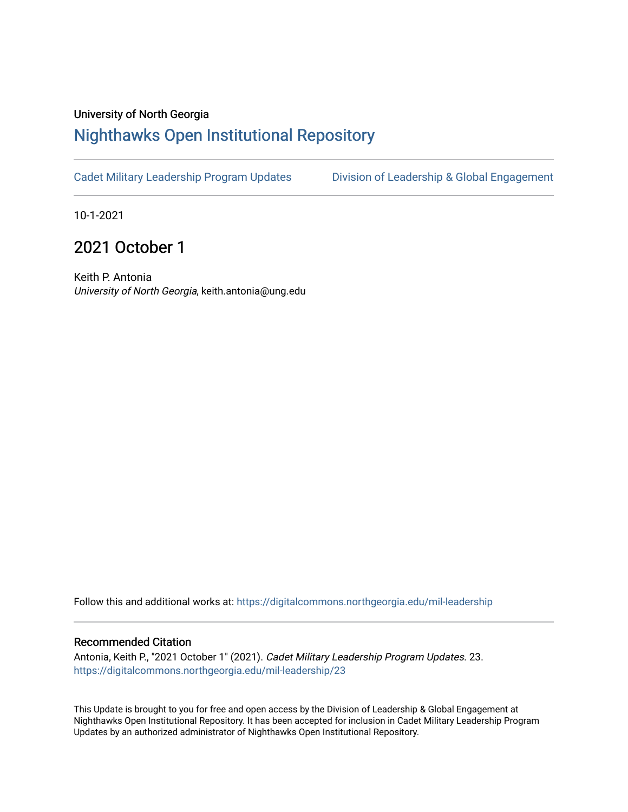#### University of North Georgia

## [Nighthawks Open Institutional Repository](https://digitalcommons.northgeorgia.edu/)

[Cadet Military Leadership Program Updates](https://digitalcommons.northgeorgia.edu/mil-leadership) [Division of Leadership & Global Engagement](https://digitalcommons.northgeorgia.edu/leadership) 

10-1-2021

# 2021 October 1

Keith P. Antonia University of North Georgia, keith.antonia@ung.edu

Follow this and additional works at: [https://digitalcommons.northgeorgia.edu/mil-leadership](https://digitalcommons.northgeorgia.edu/mil-leadership?utm_source=digitalcommons.northgeorgia.edu%2Fmil-leadership%2F23&utm_medium=PDF&utm_campaign=PDFCoverPages) 

#### Recommended Citation

Antonia, Keith P., "2021 October 1" (2021). Cadet Military Leadership Program Updates. 23. [https://digitalcommons.northgeorgia.edu/mil-leadership/23](https://digitalcommons.northgeorgia.edu/mil-leadership/23?utm_source=digitalcommons.northgeorgia.edu%2Fmil-leadership%2F23&utm_medium=PDF&utm_campaign=PDFCoverPages)

This Update is brought to you for free and open access by the Division of Leadership & Global Engagement at Nighthawks Open Institutional Repository. It has been accepted for inclusion in Cadet Military Leadership Program Updates by an authorized administrator of Nighthawks Open Institutional Repository.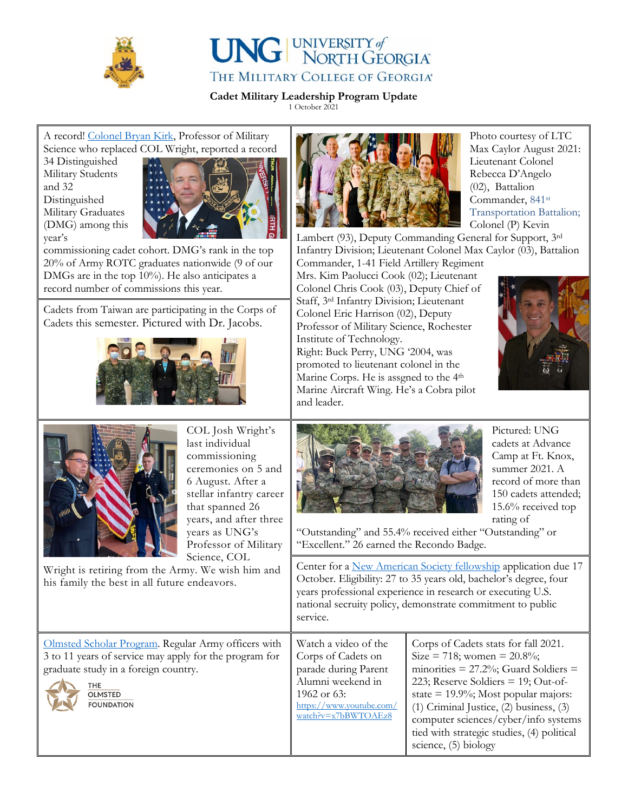



**Cadet Military Leadership Program Update**

1 October 2021

### A record! [Colonel Bryan Kirk,](https://ung.edu/news/articles/2021/08/kirk-named-professor-of-military-science.php) Professor of Military Science who replaced COL Wright, reported a record

34 Distinguished Military Students and 32 Distinguished Military Graduates (DMG) among this year's



commissioning cadet cohort. DMG's rank in the top 20% of Army ROTC graduates nationwide (9 of our DMGs are in the top 10%). He also anticipates a record number of commissions this year.

Cadets from Taiwan are participating in the Corps of Cadets this semester. Pictured with Dr. Jacobs.





COL Josh Wright's last individual commissioning ceremonies on 5 and 6 August. After a stellar infantry career that spanned 26 years, and after three years as UNG's Professor of Military Science, COL

Wright is retiring from the Army. We wish him and his family the best in all future endeavors.



Photo courtesy of LTC Max Caylor August 2021: Lieutenant Colonel Rebecca D'Angelo (02), Battalion Commander, 841<sup>st</sup> Transportation Battalion; Colonel (P) Kevin

Lambert (93), Deputy Commanding General for Support, 3rd Infantry Division; Lieutenant Colonel Max Caylor (03), Battalion Commander, 1-41 Field Artillery Regiment

Mrs. Kim Paolucci Cook (02); Lieutenant Colonel Chris Cook (03), Deputy Chief of Staff, 3rd Infantry Division; Lieutenant Colonel Eric Harrison (02), Deputy Professor of Military Science, Rochester Institute of Technology. Right: Buck Perry, UNG '2004, was

promoted to lieutenant colonel in the Marine Corps. He is assgned to the 4<sup>th</sup> Marine Aircraft Wing. He's a Cobra pilot and leader.





Pictured: UNG cadets at Advance Camp at Ft. Knox, summer 2021. A record of more than 150 cadets attended; 15.6% received top rating of

"Outstanding" and 55.4% received either "Outstanding" or "Excellent." 26 earned the Recondo Badge.

Center for a [New American Society fellowship](https://cnasnextgen.recruiterbox.com/jobs/fk0u2s1?source=) application due 17 October. Eligibility: 27 to 35 years old, bachelor's degree, four years professional experience in research or executing U.S. national secruity policy, demonstrate commitment to public service.

[Olmsted Scholar](https://olmstedfoundation.org/) Program. Regular Army officers with 3 to 11 years of service may apply for the program for graduate study in a foreign country.



**THE** OLMSTED **FOUNDATION**  Corps of Cadets on parade during Parent Alumni weekend in 1962 or 63: [https://www.youtube.com/](https://www.youtube.com/watch?v=x7bBWTOAEz8) [watch?v=x7bBWTOAEz8](https://www.youtube.com/watch?v=x7bBWTOAEz8)

Watch a video of the

Corps of Cadets stats for fall 2021.  $Size = 718$ ; women = 20.8%; minorities  $= 27.2\%$ ; Guard Soldiers  $=$ 223; Reserve Soldiers = 19; Out-ofstate = 19.9%; Most popular majors: (1) Criminal Justice, (2) business, (3) computer sciences/cyber/info systems tied with strategic studies, (4) political science, (5) biology